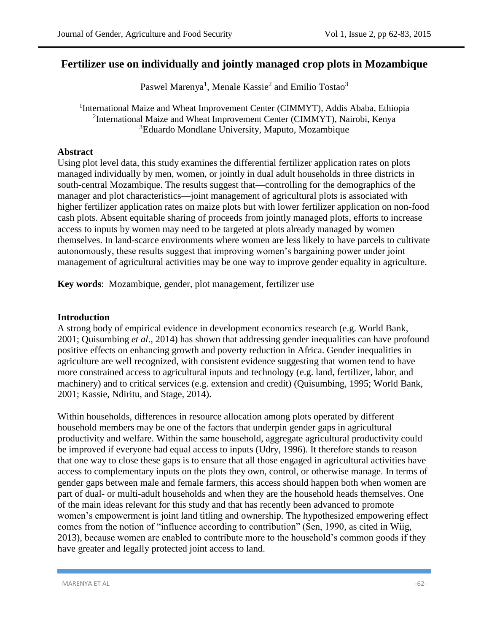# **Fertilizer use on individually and jointly managed crop plots in Mozambique**

Paswel Marenya<sup>1</sup>, Menale Kassie<sup>2</sup> and Emilio Tostao<sup>3</sup>

<sup>1</sup>International Maize and Wheat Improvement Center (CIMMYT), Addis Ababa, Ethiopia <sup>2</sup>International Maize and Wheat Improvement Center (CIMMYT), Nairobi, Kenya <sup>3</sup>Eduardo Mondlane University, Maputo, Mozambique

### **Abstract**

Using plot level data, this study examines the differential fertilizer application rates on plots managed individually by men, women, or jointly in dual adult households in three districts in south-central Mozambique. The results suggest that—controlling for the demographics of the manager and plot characteristics—joint management of agricultural plots is associated with higher fertilizer application rates on maize plots but with lower fertilizer application on non-food cash plots. Absent equitable sharing of proceeds from jointly managed plots, efforts to increase access to inputs by women may need to be targeted at plots already managed by women themselves. In land-scarce environments where women are less likely to have parcels to cultivate autonomously, these results suggest that improving women's bargaining power under joint management of agricultural activities may be one way to improve gender equality in agriculture.

**Key words**: Mozambique, gender, plot management, fertilizer use

#### **Introduction**

A strong body of empirical evidence in development economics research (e.g. World Bank, 2001; Quisumbing *et al*., 2014) has shown that addressing gender inequalities can have profound positive effects on enhancing growth and poverty reduction in Africa. Gender inequalities in agriculture are well recognized, with consistent evidence suggesting that women tend to have more constrained access to agricultural inputs and technology (e.g. land, fertilizer, labor, and machinery) and to critical services (e.g. extension and credit) (Quisumbing, 1995; World Bank, 2001; Kassie, Ndiritu, and Stage, 2014).

Within households, differences in resource allocation among plots operated by different household members may be one of the factors that underpin gender gaps in agricultural productivity and welfare. Within the same household, aggregate agricultural productivity could be improved if everyone had equal access to inputs (Udry, 1996). It therefore stands to reason that one way to close these gaps is to ensure that all those engaged in agricultural activities have access to complementary inputs on the plots they own, control, or otherwise manage. In terms of gender gaps between male and female farmers, this access should happen both when women are part of dual- or multi-adult households and when they are the household heads themselves. One of the main ideas relevant for this study and that has recently been advanced to promote women's empowerment is joint land titling and ownership. The hypothesized empowering effect comes from the notion of "influence according to contribution" (Sen, 1990, as cited in Wiig, 2013), because women are enabled to contribute more to the household's common goods if they have greater and legally protected joint access to land.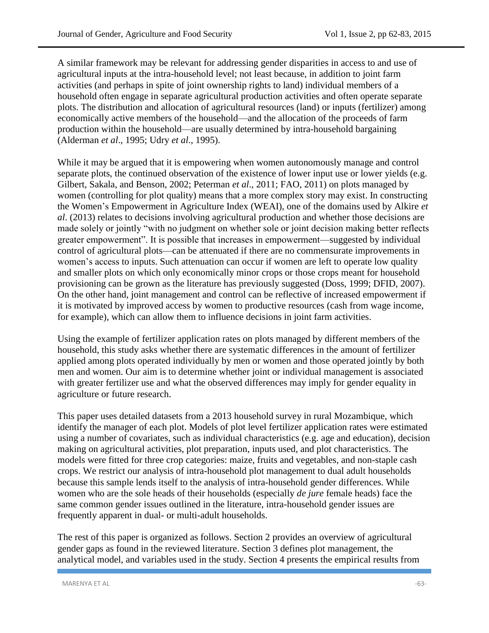A similar framework may be relevant for addressing gender disparities in access to and use of agricultural inputs at the intra-household level; not least because, in addition to joint farm activities (and perhaps in spite of joint ownership rights to land) individual members of a household often engage in separate agricultural production activities and often operate separate plots. The distribution and allocation of agricultural resources (land) or inputs (fertilizer) among economically active members of the household—and the allocation of the proceeds of farm production within the household—are usually determined by intra-household bargaining (Alderman *et al*., 1995; Udry *et al*., 1995).

While it may be argued that it is empowering when women autonomously manage and control separate plots, the continued observation of the existence of lower input use or lower yields (e.g. Gilbert, Sakala, and Benson, 2002; Peterman *et al*., 2011; FAO, 2011) on plots managed by women (controlling for plot quality) means that a more complex story may exist. In constructing the Women's Empowerment in Agriculture Index (WEAI), one of the domains used by Alkire *et al*. (2013) relates to decisions involving agricultural production and whether those decisions are made solely or jointly "with no judgment on whether sole or joint decision making better reflects greater empowerment". It is possible that increases in empowerment—suggested by individual control of agricultural plots—can be attenuated if there are no commensurate improvements in women's access to inputs. Such attenuation can occur if women are left to operate low quality and smaller plots on which only economically minor crops or those crops meant for household provisioning can be grown as the literature has previously suggested (Doss, 1999; DFID, 2007). On the other hand, joint management and control can be reflective of increased empowerment if it is motivated by improved access by women to productive resources (cash from wage income, for example), which can allow them to influence decisions in joint farm activities.

Using the example of fertilizer application rates on plots managed by different members of the household, this study asks whether there are systematic differences in the amount of fertilizer applied among plots operated individually by men or women and those operated jointly by both men and women. Our aim is to determine whether joint or individual management is associated with greater fertilizer use and what the observed differences may imply for gender equality in agriculture or future research.

This paper uses detailed datasets from a 2013 household survey in rural Mozambique, which identify the manager of each plot. Models of plot level fertilizer application rates were estimated using a number of covariates, such as individual characteristics (e.g. age and education), decision making on agricultural activities, plot preparation, inputs used, and plot characteristics. The models were fitted for three crop categories: maize, fruits and vegetables, and non-staple cash crops. We restrict our analysis of intra-household plot management to dual adult households because this sample lends itself to the analysis of intra-household gender differences. While women who are the sole heads of their households (especially *de jure* female heads) face the same common gender issues outlined in the literature, intra-household gender issues are frequently apparent in dual- or multi-adult households.

The rest of this paper is organized as follows. Section 2 provides an overview of agricultural gender gaps as found in the reviewed literature. Section 3 defines plot management, the analytical model, and variables used in the study. Section 4 presents the empirical results from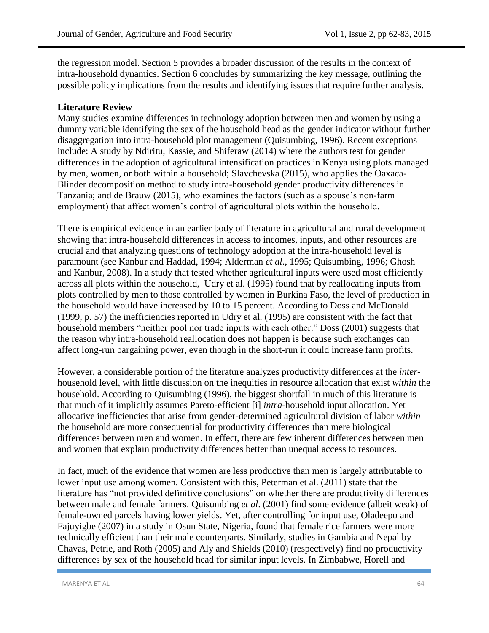the regression model. Section 5 provides a broader discussion of the results in the context of intra-household dynamics. Section 6 concludes by summarizing the key message, outlining the possible policy implications from the results and identifying issues that require further analysis.

### **Literature Review**

Many studies examine differences in technology adoption between men and women by using a dummy variable identifying the sex of the household head as the gender indicator without further disaggregation into intra-household plot management (Quisumbing, 1996). Recent exceptions include: A study by Ndiritu, Kassie, and Shiferaw (2014) where the authors test for gender differences in the adoption of agricultural intensification practices in Kenya using plots managed by men, women, or both within a household; Slavchevska (2015), who applies the Oaxaca-Blinder decomposition method to study intra-household gender productivity differences in Tanzania; and de Brauw (2015), who examines the factors (such as a spouse's non-farm employment) that affect women's control of agricultural plots within the household.

There is empirical evidence in an earlier body of literature in agricultural and rural development showing that intra-household differences in access to incomes, inputs, and other resources are crucial and that analyzing questions of technology adoption at the intra-household level is paramount (see Kanbur and Haddad, 1994; Alderman *et al*., 1995; Quisumbing, 1996; Ghosh and Kanbur, 2008). In a study that tested whether agricultural inputs were used most efficiently across all plots within the household, Udry et al. (1995) found that by reallocating inputs from plots controlled by men to those controlled by women in Burkina Faso, the level of production in the household would have increased by 10 to 15 percent. According to Doss and McDonald (1999, p. 57) the inefficiencies reported in Udry et al. (1995) are consistent with the fact that household members "neither pool nor trade inputs with each other." Doss (2001) suggests that the reason why intra-household reallocation does not happen is because such exchanges can affect long-run bargaining power, even though in the short-run it could increase farm profits.

However, a considerable portion of the literature analyzes productivity differences at the *inter*household level, with little discussion on the inequities in resource allocation that exist *within* the household. According to Quisumbing (1996), the biggest shortfall in much of this literature is that much of it implicitly assumes Pareto-efficient [i] *intra*-household input allocation. Yet allocative inefficiencies that arise from gender-determined agricultural division of labor *within* the household are more consequential for productivity differences than mere biological differences between men and women. In effect, there are few inherent differences between men and women that explain productivity differences better than unequal access to resources.

In fact, much of the evidence that women are less productive than men is largely attributable to lower input use among women. Consistent with this, Peterman et al. (2011) state that the literature has "not provided definitive conclusions" on whether there are productivity differences between male and female farmers. Quisumbing *et al*. (2001) find some evidence (albeit weak) of female-owned parcels having lower yields. Yet, after controlling for input use, Oladeepo and Fajuyigbe (2007) in a study in Osun State, Nigeria, found that female rice farmers were more technically efficient than their male counterparts. Similarly, studies in Gambia and Nepal by Chavas, Petrie, and Roth (2005) and Aly and Shields (2010) (respectively) find no productivity differences by sex of the household head for similar input levels. In Zimbabwe, Horell and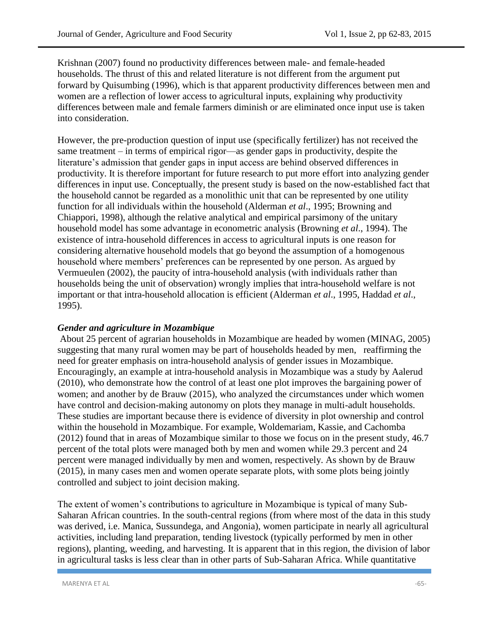Krishnan (2007) found no productivity differences between male- and female-headed households. The thrust of this and related literature is not different from the argument put forward by Quisumbing (1996), which is that apparent productivity differences between men and women are a reflection of lower access to agricultural inputs, explaining why productivity differences between male and female farmers diminish or are eliminated once input use is taken into consideration.

However, the pre-production question of input use (specifically fertilizer) has not received the same treatment – in terms of empirical rigor—as gender gaps in productivity, despite the literature's admission that gender gaps in input access are behind observed differences in productivity. It is therefore important for future research to put more effort into analyzing gender differences in input use. Conceptually, the present study is based on the now-established fact that the household cannot be regarded as a monolithic unit that can be represented by one utility function for all individuals within the household (Alderman *et al*., 1995; Browning and Chiappori, 1998), although the relative analytical and empirical parsimony of the unitary household model has some advantage in econometric analysis (Browning *et al*., 1994). The existence of intra-household differences in access to agricultural inputs is one reason for considering alternative household models that go beyond the assumption of a homogenous household where members' preferences can be represented by one person. As argued by Vermueulen (2002), the paucity of intra-household analysis (with individuals rather than households being the unit of observation) wrongly implies that intra-household welfare is not important or that intra-household allocation is efficient (Alderman *et al*., 1995, Haddad *et al*., 1995).

## *Gender and agriculture in Mozambique*

About 25 percent of agrarian households in Mozambique are headed by women (MINAG, 2005) suggesting that many rural women may be part of households headed by men, reaffirming the need for greater emphasis on intra-household analysis of gender issues in Mozambique. Encouragingly, an example at intra-household analysis in Mozambique was a study by Aalerud (2010), who demonstrate how the control of at least one plot improves the bargaining power of women; and another by de Brauw (2015), who analyzed the circumstances under which women have control and decision-making autonomy on plots they manage in multi-adult households. These studies are important because there is evidence of diversity in plot ownership and control within the household in Mozambique. For example, Woldemariam, Kassie, and Cachomba (2012) found that in areas of Mozambique similar to those we focus on in the present study, 46.7 percent of the total plots were managed both by men and women while 29.3 percent and 24 percent were managed individually by men and women, respectively. As shown by de Brauw (2015), in many cases men and women operate separate plots, with some plots being jointly controlled and subject to joint decision making.

The extent of women's contributions to agriculture in Mozambique is typical of many Sub-Saharan African countries. In the south-central regions (from where most of the data in this study was derived, i.e. Manica, Sussundega, and Angonia), women participate in nearly all agricultural activities, including land preparation, tending livestock (typically performed by men in other regions), planting, weeding, and harvesting. It is apparent that in this region, the division of labor in agricultural tasks is less clear than in other parts of Sub-Saharan Africa. While quantitative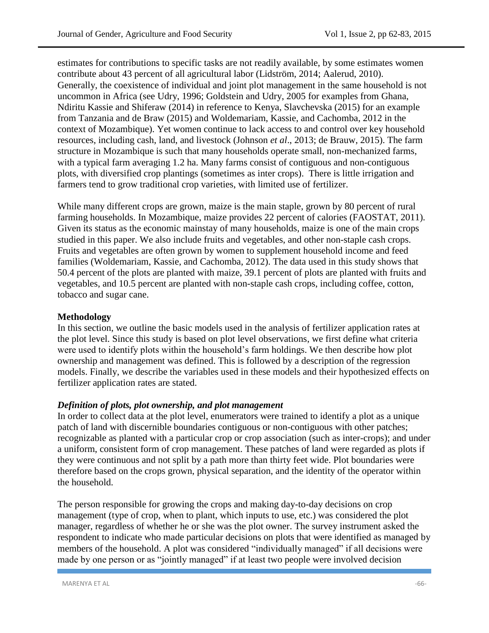estimates for contributions to specific tasks are not readily available, by some estimates women contribute about 43 percent of all agricultural labor (Lidström, 2014; Aalerud, 2010). Generally, the coexistence of individual and joint plot management in the same household is not uncommon in Africa (see Udry, 1996; Goldstein and Udry, 2005 for examples from Ghana, Ndiritu Kassie and Shiferaw (2014) in reference to Kenya, Slavchevska (2015) for an example from Tanzania and de Braw (2015) and Woldemariam, Kassie, and Cachomba, 2012 in the context of Mozambique). Yet women continue to lack access to and control over key household resources, including cash, land, and livestock (Johnson *et al*., 2013; de Brauw, 2015). The farm structure in Mozambique is such that many households operate small, non-mechanized farms, with a typical farm averaging 1.2 ha. Many farms consist of contiguous and non-contiguous plots, with diversified crop plantings (sometimes as inter crops). There is little irrigation and farmers tend to grow traditional crop varieties, with limited use of fertilizer.

While many different crops are grown, maize is the main staple, grown by 80 percent of rural farming households. In Mozambique, maize provides 22 percent of calories (FAOSTAT, 2011). Given its status as the economic mainstay of many households, maize is one of the main crops studied in this paper. We also include fruits and vegetables, and other non-staple cash crops. Fruits and vegetables are often grown by women to supplement household income and feed families (Woldemariam, Kassie, and Cachomba, 2012). The data used in this study shows that 50.4 percent of the plots are planted with maize, 39.1 percent of plots are planted with fruits and vegetables, and 10.5 percent are planted with non-staple cash crops, including coffee, cotton, tobacco and sugar cane.

#### **Methodology**

In this section, we outline the basic models used in the analysis of fertilizer application rates at the plot level. Since this study is based on plot level observations, we first define what criteria were used to identify plots within the household's farm holdings. We then describe how plot ownership and management was defined. This is followed by a description of the regression models. Finally, we describe the variables used in these models and their hypothesized effects on fertilizer application rates are stated.

#### *Definition of plots, plot ownership, and plot management*

In order to collect data at the plot level, enumerators were trained to identify a plot as a unique patch of land with discernible boundaries contiguous or non-contiguous with other patches; recognizable as planted with a particular crop or crop association (such as inter-crops); and under a uniform, consistent form of crop management. These patches of land were regarded as plots if they were continuous and not split by a path more than thirty feet wide. Plot boundaries were therefore based on the crops grown, physical separation, and the identity of the operator within the household.

The person responsible for growing the crops and making day-to-day decisions on crop management (type of crop, when to plant, which inputs to use, etc.) was considered the plot manager, regardless of whether he or she was the plot owner. The survey instrument asked the respondent to indicate who made particular decisions on plots that were identified as managed by members of the household. A plot was considered "individually managed" if all decisions were made by one person or as "jointly managed" if at least two people were involved decision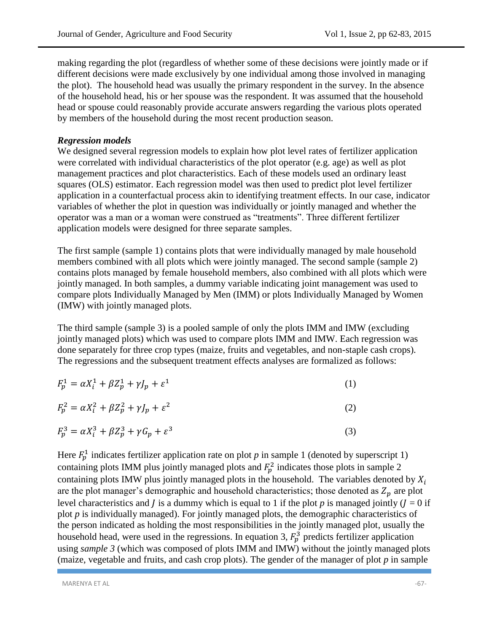making regarding the plot (regardless of whether some of these decisions were jointly made or if different decisions were made exclusively by one individual among those involved in managing the plot). The household head was usually the primary respondent in the survey. In the absence of the household head, his or her spouse was the respondent. It was assumed that the household head or spouse could reasonably provide accurate answers regarding the various plots operated by members of the household during the most recent production season.

### *Regression models*

We designed several regression models to explain how plot level rates of fertilizer application were correlated with individual characteristics of the plot operator (e.g. age) as well as plot management practices and plot characteristics. Each of these models used an ordinary least squares (OLS) estimator. Each regression model was then used to predict plot level fertilizer application in a counterfactual process akin to identifying treatment effects. In our case, indicator variables of whether the plot in question was individually or jointly managed and whether the operator was a man or a woman were construed as "treatments". Three different fertilizer application models were designed for three separate samples.

The first sample (sample 1) contains plots that were individually managed by male household members combined with all plots which were jointly managed. The second sample (sample 2) contains plots managed by female household members, also combined with all plots which were jointly managed. In both samples, a dummy variable indicating joint management was used to compare plots Individually Managed by Men (IMM) or plots Individually Managed by Women (IMW) with jointly managed plots.

The third sample (sample 3) is a pooled sample of only the plots IMM and IMW (excluding jointly managed plots) which was used to compare plots IMM and IMW. Each regression was done separately for three crop types (maize, fruits and vegetables, and non-staple cash crops). The regressions and the subsequent treatment effects analyses are formalized as follows:

| $F_p^1 = \alpha X_i^1 + \beta Z_p^1 + \gamma J_p + \varepsilon^1$ |  |
|-------------------------------------------------------------------|--|
|-------------------------------------------------------------------|--|

$$
F_p^2 = \alpha X_i^2 + \beta Z_p^2 + \gamma J_p + \varepsilon^2
$$
\n<sup>(2)</sup>

$$
F_p^3 = \alpha X_i^3 + \beta Z_p^3 + \gamma G_p + \varepsilon^3 \tag{3}
$$

Here  $F_p^1$  indicates fertilizer application rate on plot p in sample 1 (denoted by superscript 1) containing plots IMM plus jointly managed plots and  $F_p^2$  indicates those plots in sample 2 containing plots IMW plus jointly managed plots in the household. The variables denoted by  $X_i$ are the plot manager's demographic and household characteristics; those denoted as  $Z_p$  are plot level characteristics and *I* is a dummy which is equal to 1 if the plot *p* is managed jointly  $(I = 0$  if plot *p* is individually managed). For jointly managed plots, the demographic characteristics of the person indicated as holding the most responsibilities in the jointly managed plot, usually the household head, were used in the regressions. In equation 3,  $F_p^3$  predicts fertilizer application using *sample 3* (which was composed of plots IMM and IMW) without the jointly managed plots (maize, vegetable and fruits, and cash crop plots). The gender of the manager of plot *p* in sample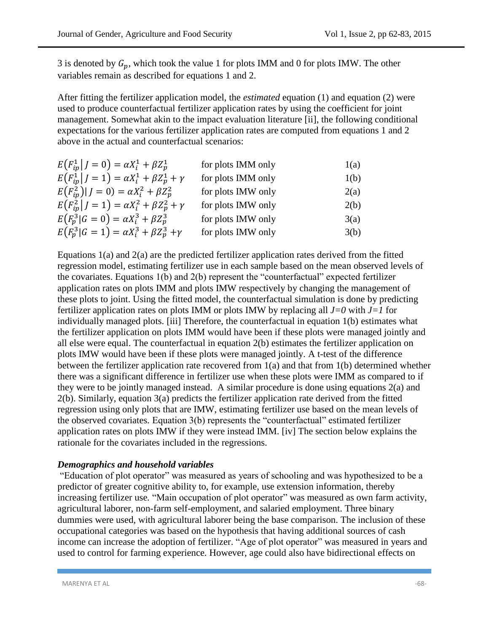3 is denoted by  $G_n$ , which took the value 1 for plots IMM and 0 for plots IMW. The other variables remain as described for equations 1 and 2.

After fitting the fertilizer application model, the *estimated* equation (1) and equation (2) were used to produce counterfactual fertilizer application rates by using the coefficient for joint management. Somewhat akin to the impact evaluation literature [ii], the following conditional expectations for the various fertilizer application rates are computed from equations 1 and 2 above in the actual and counterfactual scenarios:

| $E(F_{ip}^1   J = 0) = \alpha X_i^1 + \beta Z_p^1$          | for plots IMM only | 1(a) |
|-------------------------------------------------------------|--------------------|------|
| $E(F_{in}^1   J = 1) = \alpha X_i^1 + \beta Z_p^1 + \gamma$ | for plots IMM only | 1(b) |
| $E(F_{in}^2) J=0) = \alpha X_i^2 + \beta Z_p^2$             | for plots IMW only | 2(a) |
| $E(F_{in}^2   J = 1) = \alpha X_i^2 + \beta Z_p^2 + \gamma$ | for plots IMW only | 2(b) |
| $E(F_p^3 G=0) = \alpha X_i^3 + \beta Z_p^3$                 | for plots IMW only | 3(a) |
| $E(F_p^3 G = 1) = \alpha X_i^3 + \beta Z_p^3 + \gamma$      | for plots IMW only | 3(b) |

Equations  $1(a)$  and  $2(a)$  are the predicted fertilizer application rates derived from the fitted regression model, estimating fertilizer use in each sample based on the mean observed levels of the covariates. Equations 1(b) and 2(b) represent the "counterfactual" expected fertilizer application rates on plots IMM and plots IMW respectively by changing the management of these plots to joint. Using the fitted model, the counterfactual simulation is done by predicting fertilizer application rates on plots IMM or plots IMW by replacing all  $J=0$  with  $J=1$  for individually managed plots. [iii] Therefore, the counterfactual in equation 1(b) estimates what the fertilizer application on plots IMM would have been if these plots were managed jointly and all else were equal. The counterfactual in equation 2(b) estimates the fertilizer application on plots IMW would have been if these plots were managed jointly. A t-test of the difference between the fertilizer application rate recovered from 1(a) and that from 1(b) determined whether there was a significant difference in fertilizer use when these plots were IMM as compared to if they were to be jointly managed instead. A similar procedure is done using equations 2(a) and 2(b). Similarly, equation 3(a) predicts the fertilizer application rate derived from the fitted regression using only plots that are IMW, estimating fertilizer use based on the mean levels of the observed covariates*.* Equation 3(b) represents the "counterfactual" estimated fertilizer application rates on plots IMW if they were instead IMM. [iv] The section below explains the rationale for the covariates included in the regressions.

#### *Demographics and household variables*

"Education of plot operator" was measured as years of schooling and was hypothesized to be a predictor of greater cognitive ability to, for example, use extension information, thereby increasing fertilizer use*.* "Main occupation of plot operator" was measured as own farm activity, agricultural laborer, non-farm self-employment, and salaried employment. Three binary dummies were used, with agricultural laborer being the base comparison. The inclusion of these occupational categories was based on the hypothesis that having additional sources of cash income can increase the adoption of fertilizer. "Age of plot operator" was measured in years and used to control for farming experience*.* However, age could also have bidirectional effects on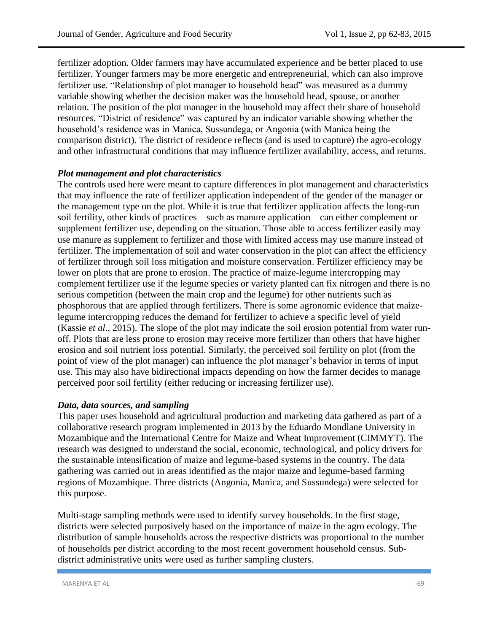fertilizer adoption. Older farmers may have accumulated experience and be better placed to use fertilizer. Younger farmers may be more energetic and entrepreneurial, which can also improve fertilizer use. "Relationship of plot manager to household head" was measured as a dummy variable showing whether the decision maker was the household head, spouse, or another relation. The position of the plot manager in the household may affect their share of household resources. "District of residence" was captured by an indicator variable showing whether the household's residence was in Manica, Sussundega, or Angonia (with Manica being the comparison district). The district of residence reflects (and is used to capture) the agro-ecology and other infrastructural conditions that may influence fertilizer availability, access, and returns.

#### *Plot management and plot characteristics*

The controls used here were meant to capture differences in plot management and characteristics that may influence the rate of fertilizer application independent of the gender of the manager or the management type on the plot. While it is true that fertilizer application affects the long-run soil fertility, other kinds of practices—such as manure application—can either complement or supplement fertilizer use, depending on the situation. Those able to access fertilizer easily may use manure as supplement to fertilizer and those with limited access may use manure instead of fertilizer. The implementation of soil and water conservation in the plot can affect the efficiency of fertilizer through soil loss mitigation and moisture conservation. Fertilizer efficiency may be lower on plots that are prone to erosion. The practice of maize-legume intercropping may complement fertilizer use if the legume species or variety planted can fix nitrogen and there is no serious competition (between the main crop and the legume) for other nutrients such as phosphorous that are applied through fertilizers. There is some agronomic evidence that maizelegume intercropping reduces the demand for fertilizer to achieve a specific level of yield (Kassie *et al*., 2015). The slope of the plot may indicate the soil erosion potential from water runoff. Plots that are less prone to erosion may receive more fertilizer than others that have higher erosion and soil nutrient loss potential. Similarly, the perceived soil fertility on plot (from the point of view of the plot manager) can influence the plot manager's behavior in terms of input use. This may also have bidirectional impacts depending on how the farmer decides to manage perceived poor soil fertility (either reducing or increasing fertilizer use).

#### *Data, data sources, and sampling*

This paper uses household and agricultural production and marketing data gathered as part of a collaborative research program implemented in 2013 by the Eduardo Mondlane University in Mozambique and the International Centre for Maize and Wheat Improvement (CIMMYT). The research was designed to understand the social, economic, technological, and policy drivers for the sustainable intensification of maize and legume-based systems in the country. The data gathering was carried out in areas identified as the major maize and legume-based farming regions of Mozambique. Three districts (Angonia, Manica, and Sussundega) were selected for this purpose.

Multi-stage sampling methods were used to identify survey households. In the first stage, districts were selected purposively based on the importance of maize in the agro ecology. The distribution of sample households across the respective districts was proportional to the number of households per district according to the most recent government household census. Subdistrict administrative units were used as further sampling clusters.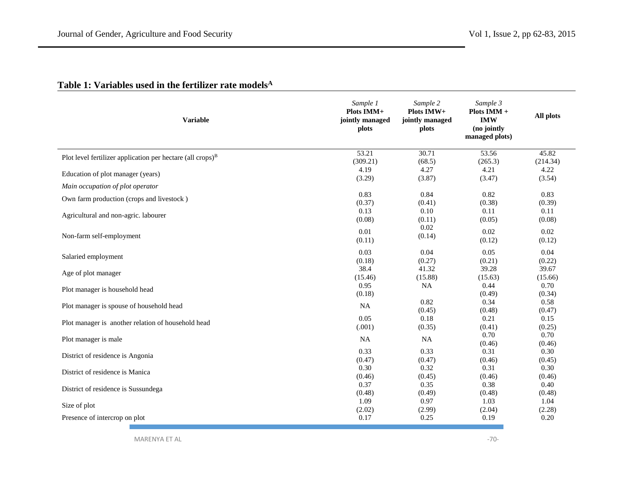|  |  |  |  |  | Table 1: Variables used in the fertilizer rate models <sup>A</sup> |
|--|--|--|--|--|--------------------------------------------------------------------|
|--|--|--|--|--|--------------------------------------------------------------------|

| <b>Variable</b>                                               | Sample 1<br>Plots IMM+<br>jointly managed<br>plots | Sample 2<br>Plots IMW+<br>jointly managed<br>plots | Sample 3<br>Plots IMM +<br><b>IMW</b><br>(no jointly<br>managed plots) | All plots      |
|---------------------------------------------------------------|----------------------------------------------------|----------------------------------------------------|------------------------------------------------------------------------|----------------|
| Plot level fertilizer application per hectare (all crops) $B$ | 53.21                                              | 30.71                                              | 53.56                                                                  | 45.82          |
|                                                               | (309.21)                                           | (68.5)                                             | (265.3)                                                                | (214.34)       |
| Education of plot manager (years)                             | 4.19                                               | 4.27                                               | 4.21                                                                   | 4.22           |
|                                                               | (3.29)                                             | (3.87)                                             | (3.47)                                                                 | (3.54)         |
| Main occupation of plot operator                              |                                                    |                                                    |                                                                        |                |
| Own farm production (crops and livestock)                     | 0.83                                               | 0.84                                               | 0.82                                                                   | 0.83           |
|                                                               | (0.37)                                             | (0.41)                                             | (0.38)                                                                 | (0.39)         |
| Agricultural and non-agric. labourer                          | 0.13                                               | 0.10                                               | 0.11                                                                   | 0.11           |
|                                                               | (0.08)                                             | (0.11)                                             | (0.05)                                                                 | (0.08)         |
| Non-farm self-employment                                      | 0.01                                               | 0.02                                               | 0.02                                                                   | 0.02           |
|                                                               | (0.11)                                             | (0.14)                                             | (0.12)                                                                 | (0.12)         |
| Salaried employment                                           | 0.03                                               | 0.04                                               | 0.05                                                                   | 0.04           |
|                                                               | (0.18)                                             | (0.27)                                             | (0.21)                                                                 | (0.22)         |
| Age of plot manager                                           | 38.4                                               | 41.32                                              | 39.28                                                                  | 39.67          |
|                                                               | (15.46)                                            | (15.88)                                            | (15.63)                                                                | (15.66)        |
| Plot manager is household head                                | 0.95<br>(0.18)                                     | <b>NA</b>                                          | 0.44<br>(0.49)                                                         | 0.70<br>(0.34) |
| Plot manager is spouse of household head                      | <b>NA</b>                                          | 0.82<br>(0.45)                                     | 0.34<br>(0.48)                                                         | 0.58<br>(0.47) |
| Plot manager is another relation of household head            | 0.05                                               | 0.18                                               | 0.21                                                                   | 0.15           |
|                                                               | (.001)                                             | (0.35)                                             | (0.41)                                                                 | (0.25)         |
| Plot manager is male                                          | <b>NA</b>                                          | <b>NA</b>                                          | 0.70<br>(0.46)                                                         | 0.70<br>(0.46) |
| District of residence is Angonia                              | 0.33                                               | 0.33                                               | 0.31                                                                   | 0.30           |
|                                                               | (0.47)                                             | (0.47)                                             | (0.46)                                                                 | (0.45)         |
| District of residence is Manica                               | 0.30                                               | 0.32                                               | 0.31                                                                   | 0.30           |
|                                                               | (0.46)                                             | (0.45)                                             | (0.46)                                                                 | (0.46)         |
| District of residence is Sussundega                           | 0.37                                               | 0.35                                               | 0.38                                                                   | 0.40           |
|                                                               | (0.48)                                             | (0.49)                                             | (0.48)                                                                 | (0.48)         |
| Size of plot                                                  | 1.09                                               | 0.97                                               | 1.03                                                                   | 1.04           |
|                                                               | (2.02)                                             | (2.99)                                             | (2.04)                                                                 | (2.28)         |
| Presence of intercrop on plot                                 | 0.17                                               | 0.25                                               | 0.19                                                                   | 0.20           |

MARENYA ET AL <sup>-70</sup>-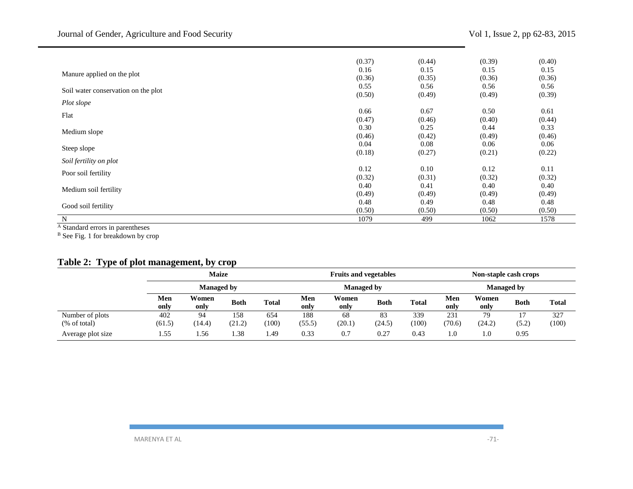|                                     | (0.37) | (0.44) | (0.39) | (0.40) |
|-------------------------------------|--------|--------|--------|--------|
| Manure applied on the plot          | 0.16   | 0.15   | 0.15   | 0.15   |
|                                     | (0.36) | (0.35) | (0.36) | (0.36) |
| Soil water conservation on the plot | 0.55   | 0.56   | 0.56   | 0.56   |
|                                     | (0.50) | (0.49) | (0.49) | (0.39) |
| Plot slope                          |        |        |        |        |
| Flat                                | 0.66   | 0.67   | 0.50   | 0.61   |
|                                     | (0.47) | (0.46) | (0.40) | (0.44) |
| Medium slope                        | 0.30   | 0.25   | 0.44   | 0.33   |
|                                     | (0.46) | (0.42) | (0.49) | (0.46) |
|                                     | 0.04   | 0.08   | 0.06   | 0.06   |
| Steep slope                         | (0.18) | (0.27) | (0.21) | (0.22) |
| Soil fertility on plot              |        |        |        |        |
| Poor soil fertility                 | 0.12   | 0.10   | 0.12   | 0.11   |
|                                     | (0.32) | (0.31) | (0.32) | (0.32) |
| Medium soil fertility               | 0.40   | 0.41   | 0.40   | 0.40   |
|                                     | (0.49) | (0.49) | (0.49) | (0.49) |
|                                     | 0.48   | 0.49   | 0.48   | 0.48   |
| Good soil fertility                 | (0.50) | (0.50) | (0.50) | (0.50) |
| N                                   | 1079   | 499    | 1062   | 1578   |

<sup>A</sup> Standard errors in parentheses

<sup>B</sup> See Fig. 1 for breakdown by crop

### **Table 2: Type of plot management, by crop**

|                   |             | <b>Maize</b>      |             |              |             | <b>Fruits and vegetables</b> |             |              |             | Non-staple cash crops |             |              |
|-------------------|-------------|-------------------|-------------|--------------|-------------|------------------------------|-------------|--------------|-------------|-----------------------|-------------|--------------|
|                   |             | <b>Managed by</b> |             |              |             | <b>Managed by</b>            |             |              |             | <b>Managed by</b>     |             |              |
|                   | Men<br>only | Women<br>only     | <b>Both</b> | <b>Total</b> | Men<br>only | Women<br>only                | <b>Both</b> | <b>Total</b> | Men<br>only | Women<br>only         | <b>Both</b> | <b>Total</b> |
| Number of plots   | 402         | 94                | 158         | 654          | 188         | 68                           | 83          | 339          | 231         | 79                    |             | 327          |
| (% of total)      | (61.5)      | (14.4)            | (21.2)      | (100)        | (55.5)      | (20.1)                       | (24.5)      | (100)        | (70.6)      | (24.2)                | (5.2)       | (100)        |
| Average plot size | 1.55        | . . 56            | 1.38        | . 49         | 0.33        | 0.7                          | 0.27        | 0.43         | 1.0         | 1.0                   | 0.95        |              |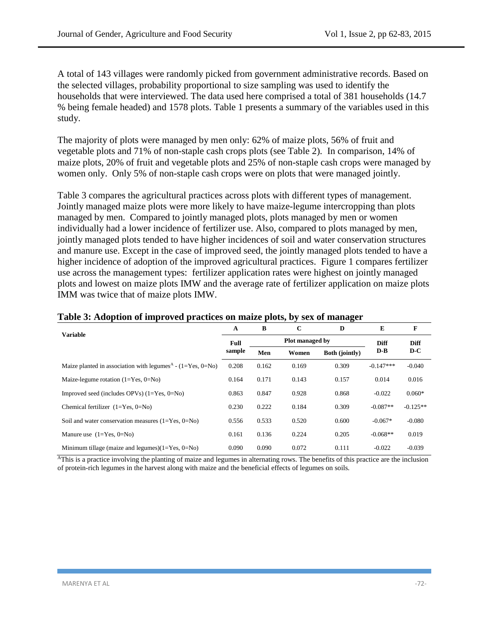A total of 143 villages were randomly picked from government administrative records. Based on the selected villages, probability proportional to size sampling was used to identify the households that were interviewed. The data used here comprised a total of 381 households (14.7 % being female headed) and 1578 plots. Table 1 presents a summary of the variables used in this study.

The majority of plots were managed by men only: 62% of maize plots, 56% of fruit and vegetable plots and 71% of non-staple cash crops plots (see Table 2). In comparison, 14% of maize plots, 20% of fruit and vegetable plots and 25% of non-staple cash crops were managed by women only. Only 5% of non-staple cash crops were on plots that were managed jointly.

Table 3 compares the agricultural practices across plots with different types of management. Jointly managed maize plots were more likely to have maize-legume intercropping than plots managed by men. Compared to jointly managed plots, plots managed by men or women individually had a lower incidence of fertilizer use. Also, compared to plots managed by men, jointly managed plots tended to have higher incidences of soil and water conservation structures and manure use. Except in the case of improved seed, the jointly managed plots tended to have a higher incidence of adoption of the improved agricultural practices. Figure 1 compares fertilizer use across the management types: fertilizer application rates were highest on jointly managed plots and lowest on maize plots IMW and the average rate of fertilizer application on maize plots IMM was twice that of maize plots IMW.

| <b>Variable</b>                                                          |        | B                      | C     | D                     | E           | F           |
|--------------------------------------------------------------------------|--------|------------------------|-------|-----------------------|-------------|-------------|
|                                                                          | Full   | <b>Plot managed by</b> |       |                       |             | <b>Diff</b> |
|                                                                          | sample | Men                    | Women | <b>Both (jointly)</b> | $D-B$       | $D-C$       |
| Maize planted in association with legumes <sup>A</sup> - $(1=Yes, 0=No)$ | 0.208  | 0.162                  | 0.169 | 0.309                 | $-0.147***$ | $-0.040$    |
| Maize-legume rotation $(1=Yes, 0=No)$                                    | 0.164  | 0.171                  | 0.143 | 0.157                 | 0.014       | 0.016       |
| Improved seed (includes OPVs) $(1=Yes, 0=No)$                            | 0.863  | 0.847                  | 0.928 | 0.868                 | $-0.022$    | $0.060*$    |
| Chemical fertilizer $(1=Yes, 0=No)$                                      | 0.230  | 0.222                  | 0.184 | 0.309                 | $-0.087**$  | $-0.125**$  |
| Soil and water conservation measures $(1 = Yes, 0 = No)$                 | 0.556  | 0.533                  | 0.520 | 0.600                 | $-0.067*$   | $-0.080$    |
| Manure use $(1=Yes, 0=No)$                                               | 0.161  | 0.136                  | 0.224 | 0.205                 | $-0.068**$  | 0.019       |
| Minimum tillage (maize and legumes) $(1=Yes, 0=No)$                      | 0.090  | 0.090                  | 0.072 | 0.111                 | $-0.022$    | $-0.039$    |

#### **Table 3: Adoption of improved practices on maize plots, by sex of manager**

<sup>A</sup>This is a practice involving the planting of maize and legumes in alternating rows. The benefits of this practice are the inclusion of protein-rich legumes in the harvest along with maize and the beneficial effects of legumes on soils.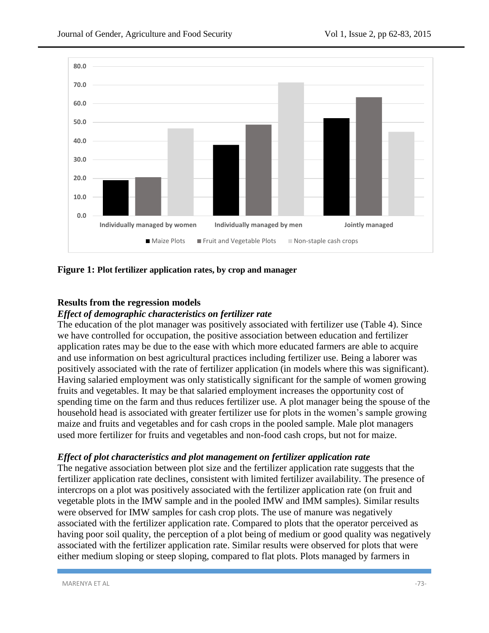

**Figure 1: Plot fertilizer application rates, by crop and manager**

## **Results from the regression models**

### *Effect of demographic characteristics on fertilizer rate*

The education of the plot manager was positively associated with fertilizer use (Table 4). Since we have controlled for occupation, the positive association between education and fertilizer application rates may be due to the ease with which more educated farmers are able to acquire and use information on best agricultural practices including fertilizer use. Being a laborer was positively associated with the rate of fertilizer application (in models where this was significant). Having salaried employment was only statistically significant for the sample of women growing fruits and vegetables. It may be that salaried employment increases the opportunity cost of spending time on the farm and thus reduces fertilizer use. A plot manager being the spouse of the household head is associated with greater fertilizer use for plots in the women's sample growing maize and fruits and vegetables and for cash crops in the pooled sample. Male plot managers used more fertilizer for fruits and vegetables and non-food cash crops, but not for maize.

## *Effect of plot characteristics and plot management on fertilizer application rate*

The negative association between plot size and the fertilizer application rate suggests that the fertilizer application rate declines, consistent with limited fertilizer availability. The presence of intercrops on a plot was positively associated with the fertilizer application rate (on fruit and vegetable plots in the IMW sample and in the pooled IMW and IMM samples). Similar results were observed for IMW samples for cash crop plots. The use of manure was negatively associated with the fertilizer application rate. Compared to plots that the operator perceived as having poor soil quality, the perception of a plot being of medium or good quality was negatively associated with the fertilizer application rate. Similar results were observed for plots that were either medium sloping or steep sloping, compared to flat plots. Plots managed by farmers in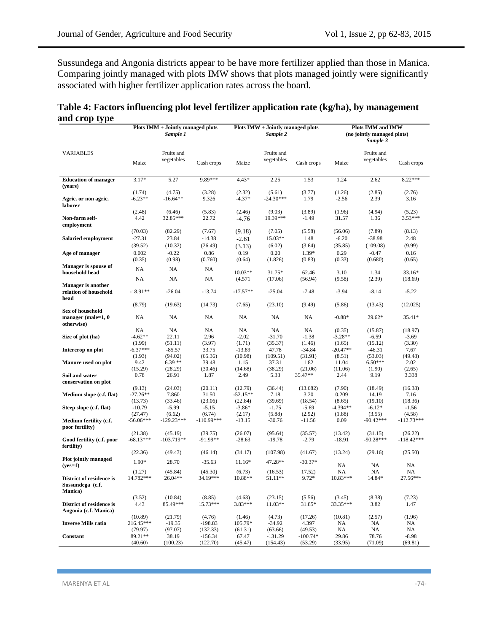Sussundega and Angonia districts appear to be have more fertilizer applied than those in Manica. Comparing jointly managed with plots IMW shows that plots managed jointly were significantly associated with higher fertilizer application rates across the board.

| Table 4: Factors influencing plot level fertilizer application rate (kg/ha), by management |  |
|--------------------------------------------------------------------------------------------|--|
| and crop type                                                                              |  |

|                                                            |                    | Plots IMM + Jointly managed plots<br>Sample 1 |                       |                   | Plots IMW + Jointly managed plots<br>Sample 2 |                       |                    | Plots IMM and IMW<br>(no jointly managed plots)<br>Sample 3 |                    |
|------------------------------------------------------------|--------------------|-----------------------------------------------|-----------------------|-------------------|-----------------------------------------------|-----------------------|--------------------|-------------------------------------------------------------|--------------------|
| <b>VARIABLES</b>                                           |                    | Fruits and                                    |                       |                   | Fruits and                                    |                       |                    | Fruits and                                                  |                    |
|                                                            | Maize              | vegetables                                    | Cash crops            | Maize             | vegetables                                    | Cash crops            | Maize              | vegetables                                                  | Cash crops         |
| <b>Education of manager</b><br>(years)                     | $3.17*$            | 5.27                                          | 9.89***               | $4.43*$           | 2.25                                          | 1.53                  | 1.24               | 2.62                                                        | $8.22***$          |
|                                                            | (1.74)             | (4.75)                                        | (3.28)                | (2.32)            | (5.61)                                        | (3.77)                | (1.26)             | (2.85)                                                      | (2.76)             |
| Agric. or non agric.<br>laborer                            | $-6.23**$          | $-16.64**$                                    | 9.326                 | $-4.37*$          | $-24.30***$                                   | 1.79                  | $-2.56$            | 2.39                                                        | 3.16               |
|                                                            | (2.48)             | (6.46)                                        | (5.83)                | (2.46)            | (9.03)                                        | (3.89)                | (1.96)             | (4.94)                                                      | (5.23)             |
| Non-farm self-<br>employment                               | 4.42               | 32.85***                                      | 22.72                 | $-4.76$           | 19.39***                                      | $-1.49$               | 31.57              | 1.36                                                        | 3.53***            |
|                                                            | (70.03)            | (82.29)                                       | (7.67)                | (9.18)            | (7.05)                                        | (5.58)                | (56.06)            | (7.89)                                                      | (8.13)             |
| Salaried employment                                        | $-27.31$           | 23.84                                         | $-14.38$              | $-2.61$           | 15.03**                                       | 1.48                  | $-6.20$            | $-38.98$                                                    | 2.48               |
|                                                            | (39.52)            | (10.32)                                       | (26.49)               | (3.13)            | (6.02)                                        | (3.64)                | (35.85)            | (109.08)                                                    | (9.99)             |
| Age of manager                                             | 0.002              | $-0.22$                                       | 0.86                  | 0.19              | 0.20                                          | 1.39*                 | 0.29               | $-0.47$                                                     | 0.16               |
|                                                            | (0.35)             | (0.98)                                        | (0.760)               | (0.64)            | (1.826)                                       | (0.83)                | (0.33)             | (0.680)                                                     | (0.65)             |
| Manager is spouse of<br>household head                     | NA                 | NA                                            | NA                    | 10.03**           | 31.75*                                        | 62.46                 | 3.10               | 1.34                                                        | 33.16*             |
|                                                            | NA                 | NA                                            | NA                    | (4.571)           | (17.06)                                       | (56.94)               | (9.58)             | (2.39)                                                      | (18.69)            |
| <b>Manager</b> is another<br>relation of household<br>head | $-18.91**$         | $-26.04$                                      | $-13.74$              | $-17.57**$        | $-25.04$                                      | $-7.48$               | $-3.94$            | $-8.14$                                                     | $-5.22$            |
|                                                            | (8.79)             | (19.63)                                       | (14.73)               | (7.65)            | (23.10)                                       | (9.49)                | (5.86)             | (13.43)                                                     | (12.025)           |
| Sex of household<br>manager (male= $1, 0$                  | NA                 | NA                                            | NA                    | NA.               | NA                                            | NA                    | $-0.88*$           | $29.62*$                                                    | 35.41*             |
| otherwise)                                                 | NA                 | NA                                            | NA                    | NA                | NA                                            | NA                    | (0.35)             | (15.87)                                                     | (18.97)            |
| Size of plot (ha)                                          | $-4.62**$          | 22.11                                         | 2.96                  | $-2.02$           | $-31.70$                                      | $-1.38$               | $-3.28**$          | $-6.59$                                                     | $-3.69$            |
|                                                            | (1.99)             | (51.11)                                       | (3.97)                | (1.71)            | (35.37)                                       | (1.46)                | (1.65)             | (15.12)                                                     | (3.30)             |
| Intercrop on plot                                          | $-6.37***$         | $-85.57$                                      | 33.75                 | $-13.89$          | 47.78                                         | $-34.84$              | $-20.47**$         | $-46.31$                                                    | 7.67               |
|                                                            | (1.93)             | (94.02)                                       | (65.36)               | (10.98)           | (109.51)                                      | (31.91)               | (8.51)             | (53.03)                                                     | (49.48)            |
| Manure used on plot                                        | 9.42               | $6.39**$                                      | 39.48                 | 1.15              | 37.31                                         | 1.82                  | 11.04              | $6.50***$                                                   | 2.02               |
|                                                            | (15.29)            | (28.29)                                       | (30.46)               | (14.68)           | (38.29)                                       | (21.06)               | (11.06)            | (1.90)                                                      | (2.65)             |
| Soil and water<br>conservation on plot                     | 0.78               | 26.91                                         | 1.87                  | 2.49              | 5.33                                          | 35.47**               | 2.44               | 9.19                                                        | 3.338              |
|                                                            | (9.13)             | (24.03)                                       | (20.11)               | (12.79)           | (36.44)                                       | (13.682)              | (7.90)             | (18.49)                                                     | (16.38)            |
| Medium slope (c.f. flat)                                   | $-27.26**$         | 7.860                                         | 31.50                 | $-52.15**$        | 7.18                                          | 3.20                  | 0.209              | 14.19                                                       | 7.16               |
|                                                            | (13.73)            | (33.46)                                       | (23.06)               | (22.84)           | (39.69)                                       | (18.54)               | (8.65)             | (19.10)                                                     | (18.36)            |
| Steep slope (c.f. flat)                                    | $-10.79$           | $-5.99$                                       | $-5.15$               | $-3.86*$          | $-1.75$                                       | $-5.69$               | -4.394**           | $-6.12*$                                                    | $-1.56$            |
|                                                            | (27.47)            | (6.62)                                        | (6.74)                | (2.17)            | (5.88)                                        | (2.92)                | (1.88)             | (3.55)                                                      | (4.58)             |
| Medium fertility (c.f.<br>poor fertility)                  | $-56.06***$        | $-129.23***$                                  | $-110.99***$          | $-13.15$          | $-30.76$                                      | $-11.56$              | 0.09               | $-90.42***$                                                 | $-112.73***$       |
|                                                            | (21.38)            | (45.19)                                       | (39.75)               | (26.07)           | (95.64)                                       | (35.57)               | (13.42)            | (31.15)                                                     | (26.22)            |
| Good fertility (c.f. poor<br>fertility)                    | $-68.13***$        | $-103.719**$                                  | $-91.99**$            | $-28.63$          | $-19.78$                                      | $-2.79$               | $-18.91$           | $-90.28***$                                                 | $-118.42***$       |
|                                                            | (22.36)            | (49.43)                                       | (46.14)               | (34.17)           | (107.98)                                      | (41.67)               | (13.24)            | (29.16)                                                     | (25.50)            |
| Plot jointly managed<br>$(yes=1)$                          | 1.90*              | 28.70                                         | $-35.63$              | 11.16*            | 47.28**                                       | $-30.37*$             | NA                 | NA                                                          | NA                 |
|                                                            | (1.27)             | (45.84)                                       | (45.30)               | (6.73)            | (16.53)                                       | 17.52)                | NA                 | NA                                                          | NA                 |
| District of residence is<br>Sussundega (c.f.               | 14.782***          | 26.04**                                       | 34.19***              | 10.88**           | 51.11**                                       | $9.72*$               | $10.83***$         | 14.84*                                                      | 27.56***           |
| Manica)                                                    |                    |                                               |                       |                   |                                               |                       |                    |                                                             |                    |
| District of residence is<br>Angonia (c.f. Manica)          | (3.52)<br>4.43     | (10.84)<br>85.49***                           | (8.85)<br>15.73***    | (4.63)<br>3.83*** | (23.15)<br>11.03**                            | (5.56)<br>31.85*      | (3.45)<br>33.35*** | (8.38)<br>3.82                                              | (7.23)<br>1.47     |
|                                                            | (10.89)            | (21.79)                                       | (4.76)                | (1.46)            | (4.73)                                        | (17.26)               | (10.81)            | (2.57)                                                      | (1.96)             |
| <b>Inverse Mills ratio</b>                                 | 216.45***          | $-19.35$                                      | $-198.83$             | 105.79*           | $-34.92$                                      | 4.397                 | NA                 | NA                                                          | NA                 |
|                                                            | (79.97)            | (97.07)                                       | (132.33)              | (61.31)           | (63.66)                                       | (49.53)               | NA                 | NA                                                          | NA                 |
| Constant                                                   | 89.21**<br>(40.60) | 38.19<br>(100.23)                             | $-156.34$<br>(122.70) | 67.47<br>(45.47)  | $-131.29$<br>(154.43)                         | $-100.74*$<br>(53.29) | 29.86<br>(33.95)   | 78.76<br>(71.09)                                            | $-8.98$<br>(69.81) |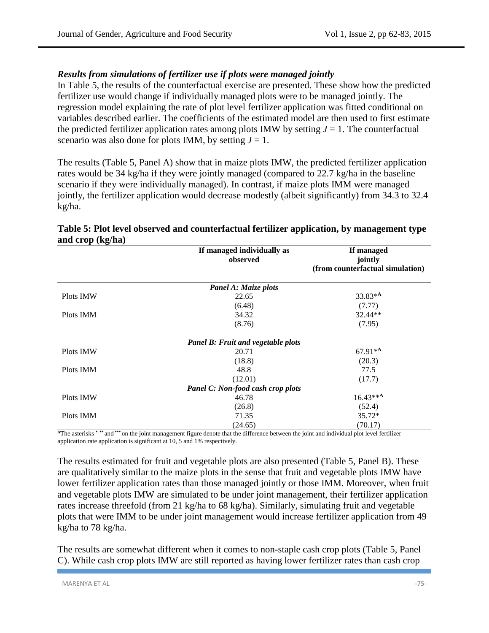## *Results from simulations of fertilizer use if plots were managed jointly*

In Table 5, the results of the counterfactual exercise are presented. These show how the predicted fertilizer use would change if individually managed plots were to be managed jointly. The regression model explaining the rate of plot level fertilizer application was fitted conditional on variables described earlier. The coefficients of the estimated model are then used to first estimate the predicted fertilizer application rates among plots IMW by setting  $J = 1$ . The counterfactual scenario was also done for plots IMM, by setting  $J = 1$ .

The results (Table 5, Panel A) show that in maize plots IMW, the predicted fertilizer application rates would be 34 kg/ha if they were jointly managed (compared to 22.7 kg/ha in the baseline scenario if they were individually managed). In contrast, if maize plots IMM were managed jointly, the fertilizer application would decrease modestly (albeit significantly) from 34.3 to 32.4 kg/ha.

| $\mathbf{u}$ $\mathbf{u}$ $\mathbf{v}$ $\mathbf{p}$ $\mathbf{u}$ , $\mathbf{v}$<br>If managed individually as<br>observed |                                    | If managed<br>jointly<br>(from counterfactual simulation) |
|---------------------------------------------------------------------------------------------------------------------------|------------------------------------|-----------------------------------------------------------|
|                                                                                                                           | Panel A: Maize plots               |                                                           |
| Plots IMW                                                                                                                 | 22.65                              | 33.83*A                                                   |
|                                                                                                                           | (6.48)                             | (7.77)                                                    |
| Plots IMM                                                                                                                 | 34.32                              | 32.44**                                                   |
|                                                                                                                           | (8.76)                             | (7.95)                                                    |
|                                                                                                                           | Panel B: Fruit and vegetable plots |                                                           |
| Plots IMW                                                                                                                 | 20.71                              | $67.91**$                                                 |
|                                                                                                                           | (18.8)                             | (20.3)                                                    |
| Plots IMM                                                                                                                 | 48.8                               | 77.5                                                      |
|                                                                                                                           | (12.01)                            | (17.7)                                                    |
|                                                                                                                           | Panel C: Non-food cash crop plots  |                                                           |
| Plots IMW                                                                                                                 | 46.78                              | $16.43***$ A                                              |
|                                                                                                                           | (26.8)                             | (52.4)                                                    |
| Plots IMM                                                                                                                 | 71.35                              | $35.72*$                                                  |
|                                                                                                                           | (24.65)                            | (70.17)                                                   |

## **Table 5: Plot level observed and counterfactual fertilizer application, by management type and crop (kg/ha)**

**<sup>A</sup>**The asterisks **\*, \*\*** and **\*\*\*** on the joint management figure denote that the difference between the joint and individual plot level fertilizer application rate application is significant at 10, 5 and 1% respectively.

The results estimated for fruit and vegetable plots are also presented (Table 5, Panel B). These are qualitatively similar to the maize plots in the sense that fruit and vegetable plots IMW have lower fertilizer application rates than those managed jointly or those IMM. Moreover, when fruit and vegetable plots IMW are simulated to be under joint management, their fertilizer application rates increase threefold (from 21 kg/ha to 68 kg/ha). Similarly, simulating fruit and vegetable plots that were IMM to be under joint management would increase fertilizer application from 49 kg/ha to 78 kg/ha.

The results are somewhat different when it comes to non-staple cash crop plots (Table 5, Panel C). While cash crop plots IMW are still reported as having lower fertilizer rates than cash crop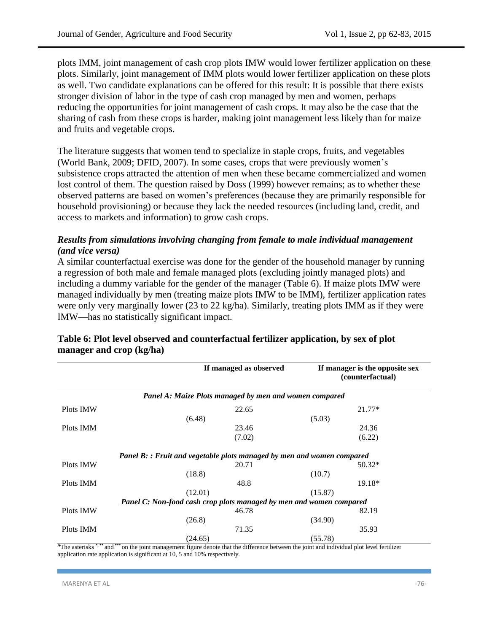plots IMM, joint management of cash crop plots IMW would lower fertilizer application on these plots. Similarly, joint management of IMM plots would lower fertilizer application on these plots as well. Two candidate explanations can be offered for this result: It is possible that there exists stronger division of labor in the type of cash crop managed by men and women, perhaps reducing the opportunities for joint management of cash crops. It may also be the case that the sharing of cash from these crops is harder, making joint management less likely than for maize and fruits and vegetable crops.

The literature suggests that women tend to specialize in staple crops, fruits, and vegetables (World Bank, 2009; DFID, 2007). In some cases, crops that were previously women's subsistence crops attracted the attention of men when these became commercialized and women lost control of them. The question raised by Doss (1999) however remains; as to whether these observed patterns are based on women's preferences (because they are primarily responsible for household provisioning) or because they lack the needed resources (including land, credit, and access to markets and information) to grow cash crops.

## *Results from simulations involving changing from female to male individual management (and vice versa)*

A similar counterfactual exercise was done for the gender of the household manager by running a regression of both male and female managed plots (excluding jointly managed plots) and including a dummy variable for the gender of the manager (Table 6). If maize plots IMW were managed individually by men (treating maize plots IMW to be IMM), fertilizer application rates were only very marginally lower (23 to 22 kg/ha). Similarly, treating plots IMM as if they were IMW—has no statistically significant impact.

|           | If managed as observed                                                       | If manager is the opposite sex<br>(counterfactual) |
|-----------|------------------------------------------------------------------------------|----------------------------------------------------|
|           | Panel A: Maize Plots managed by men and women compared                       |                                                    |
| Plots IMW | 22.65                                                                        | $21.77*$                                           |
|           | (6.48)                                                                       | (5.03)                                             |
| Plots IMM | 23.46                                                                        | 24.36                                              |
|           | (7.02)                                                                       | (6.22)                                             |
|           | <b>Panel B:: Fruit and vegetable plots managed by men and women compared</b> |                                                    |
| Plots IMW | 20.71                                                                        | $50.32*$                                           |
|           | (18.8)                                                                       | (10.7)                                             |
| Plots IMM | 48.8                                                                         | 19.18*                                             |
|           | (12.01)                                                                      | (15.87)                                            |
|           | Panel C: Non-food cash crop plots managed by men and women compared          |                                                    |
| Plots IMW | 46.78                                                                        | 82.19                                              |
|           | (26.8)                                                                       | (34.90)                                            |
| Plots IMM | 71.35                                                                        | 35.93                                              |
|           | (24.65)                                                                      | (55.78)                                            |

## **Table 6: Plot level observed and counterfactual fertilizer application, by sex of plot manager and crop (kg/ha)**

**<sup>A</sup>**The asterisks **\*, \*\*** and **\*\*\*** on the joint management figure denote that the difference between the joint and individual plot level fertilizer application rate application is significant at 10, 5 and 10% respectively.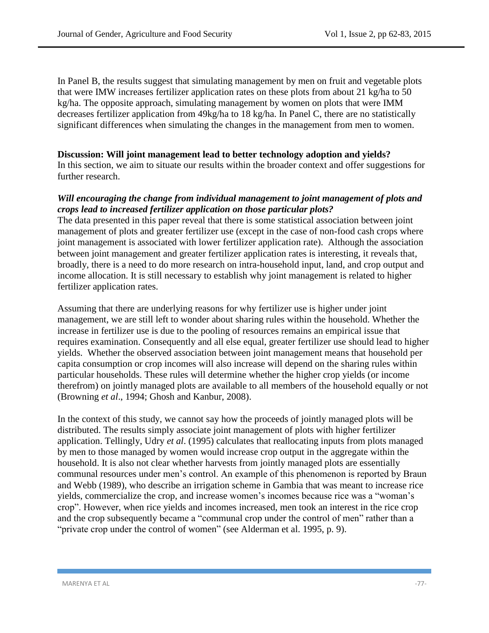In Panel B, the results suggest that simulating management by men on fruit and vegetable plots that were IMW increases fertilizer application rates on these plots from about 21 kg/ha to 50 kg/ha. The opposite approach, simulating management by women on plots that were IMM decreases fertilizer application from 49kg/ha to 18 kg/ha. In Panel C, there are no statistically significant differences when simulating the changes in the management from men to women.

### **Discussion: Will joint management lead to better technology adoption and yields?**

In this section, we aim to situate our results within the broader context and offer suggestions for further research.

### *Will encouraging the change from individual management to joint management of plots and crops lead to increased fertilizer application on those particular plots?*

The data presented in this paper reveal that there is some statistical association between joint management of plots and greater fertilizer use (except in the case of non-food cash crops where joint management is associated with lower fertilizer application rate). Although the association between joint management and greater fertilizer application rates is interesting, it reveals that, broadly, there is a need to do more research on intra-household input, land, and crop output and income allocation. It is still necessary to establish why joint management is related to higher fertilizer application rates.

Assuming that there are underlying reasons for why fertilizer use is higher under joint management, we are still left to wonder about sharing rules within the household. Whether the increase in fertilizer use is due to the pooling of resources remains an empirical issue that requires examination. Consequently and all else equal, greater fertilizer use should lead to higher yields. Whether the observed association between joint management means that household per capita consumption or crop incomes will also increase will depend on the sharing rules within particular households. These rules will determine whether the higher crop yields (or income therefrom) on jointly managed plots are available to all members of the household equally or not (Browning *et al*., 1994; Ghosh and Kanbur, 2008).

In the context of this study, we cannot say how the proceeds of jointly managed plots will be distributed. The results simply associate joint management of plots with higher fertilizer application. Tellingly, Udry *et al*. (1995) calculates that reallocating inputs from plots managed by men to those managed by women would increase crop output in the aggregate within the household. It is also not clear whether harvests from jointly managed plots are essentially communal resources under men's control. An example of this phenomenon is reported by Braun and Webb (1989), who describe an irrigation scheme in Gambia that was meant to increase rice yields, commercialize the crop, and increase women's incomes because rice was a "woman's crop". However, when rice yields and incomes increased, men took an interest in the rice crop and the crop subsequently became a "communal crop under the control of men" rather than a "private crop under the control of women" (see Alderman et al. 1995, p. 9).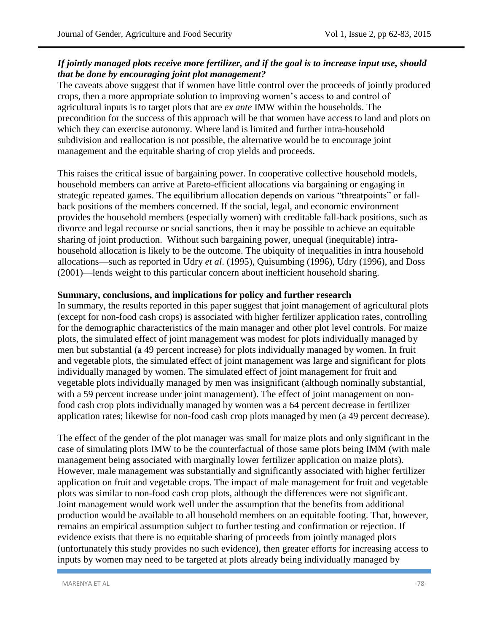## *If jointly managed plots receive more fertilizer, and if the goal is to increase input use, should that be done by encouraging joint plot management?*

The caveats above suggest that if women have little control over the proceeds of jointly produced crops, then a more appropriate solution to improving women's access to and control of agricultural inputs is to target plots that are *ex ante* IMW within the households. The precondition for the success of this approach will be that women have access to land and plots on which they can exercise autonomy. Where land is limited and further intra-household subdivision and reallocation is not possible, the alternative would be to encourage joint management and the equitable sharing of crop yields and proceeds.

This raises the critical issue of bargaining power. In cooperative collective household models, household members can arrive at Pareto-efficient allocations via bargaining or engaging in strategic repeated games. The equilibrium allocation depends on various "threatpoints" or fallback positions of the members concerned. If the social, legal, and economic environment provides the household members (especially women) with creditable fall-back positions, such as divorce and legal recourse or social sanctions, then it may be possible to achieve an equitable sharing of joint production. Without such bargaining power, unequal (inequitable) intrahousehold allocation is likely to be the outcome. The ubiquity of inequalities in intra household allocations—such as reported in Udry *et al*. (1995), Quisumbing (1996), Udry (1996), and Doss (2001)—lends weight to this particular concern about inefficient household sharing.

## **Summary, conclusions, and implications for policy and further research**

In summary, the results reported in this paper suggest that joint management of agricultural plots (except for non-food cash crops) is associated with higher fertilizer application rates, controlling for the demographic characteristics of the main manager and other plot level controls. For maize plots, the simulated effect of joint management was modest for plots individually managed by men but substantial (a 49 percent increase) for plots individually managed by women. In fruit and vegetable plots, the simulated effect of joint management was large and significant for plots individually managed by women. The simulated effect of joint management for fruit and vegetable plots individually managed by men was insignificant (although nominally substantial, with a 59 percent increase under joint management). The effect of joint management on nonfood cash crop plots individually managed by women was a 64 percent decrease in fertilizer application rates; likewise for non-food cash crop plots managed by men (a 49 percent decrease).

The effect of the gender of the plot manager was small for maize plots and only significant in the case of simulating plots IMW to be the counterfactual of those same plots being IMM (with male management being associated with marginally lower fertilizer application on maize plots). However, male management was substantially and significantly associated with higher fertilizer application on fruit and vegetable crops. The impact of male management for fruit and vegetable plots was similar to non-food cash crop plots, although the differences were not significant. Joint management would work well under the assumption that the benefits from additional production would be available to all household members on an equitable footing. That, however, remains an empirical assumption subject to further testing and confirmation or rejection. If evidence exists that there is no equitable sharing of proceeds from jointly managed plots (unfortunately this study provides no such evidence), then greater efforts for increasing access to inputs by women may need to be targeted at plots already being individually managed by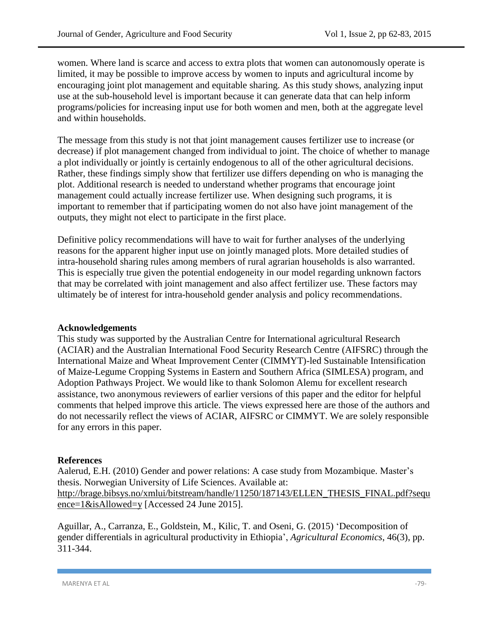women. Where land is scarce and access to extra plots that women can autonomously operate is limited, it may be possible to improve access by women to inputs and agricultural income by encouraging joint plot management and equitable sharing. As this study shows, analyzing input use at the sub-household level is important because it can generate data that can help inform programs/policies for increasing input use for both women and men, both at the aggregate level and within households.

The message from this study is not that joint management causes fertilizer use to increase (or decrease) if plot management changed from individual to joint. The choice of whether to manage a plot individually or jointly is certainly endogenous to all of the other agricultural decisions. Rather, these findings simply show that fertilizer use differs depending on who is managing the plot. Additional research is needed to understand whether programs that encourage joint management could actually increase fertilizer use. When designing such programs, it is important to remember that if participating women do not also have joint management of the outputs, they might not elect to participate in the first place.

Definitive policy recommendations will have to wait for further analyses of the underlying reasons for the apparent higher input use on jointly managed plots. More detailed studies of intra-household sharing rules among members of rural agrarian households is also warranted. This is especially true given the potential endogeneity in our model regarding unknown factors that may be correlated with joint management and also affect fertilizer use. These factors may ultimately be of interest for intra-household gender analysis and policy recommendations.

#### **Acknowledgements**

This study was supported by the Australian Centre for International agricultural Research (ACIAR) and the Australian International Food Security Research Centre (AIFSRC) through the International Maize and Wheat Improvement Center (CIMMYT)-led Sustainable Intensification of Maize-Legume Cropping Systems in Eastern and Southern Africa (SIMLESA) program, and Adoption Pathways Project. We would like to thank Solomon Alemu for excellent research assistance, two anonymous reviewers of earlier versions of this paper and the editor for helpful comments that helped improve this article. The views expressed here are those of the authors and do not necessarily reflect the views of ACIAR, AIFSRC or CIMMYT. We are solely responsible for any errors in this paper.

#### **References**

Aalerud, E.H. (2010) Gender and power relations: A case study from Mozambique. Master's thesis. Norwegian University of Life Sciences. Available at: [http://brage.bibsys.no/xmlui/bitstream/handle/11250/187143/ELLEN\\_THESIS\\_FINAL.pdf?sequ](http://brage.bibsys.no/xmlui/bitstream/handle/11250/187143/ELLEN_THESIS_FINAL.pdf?sequence=1&isAllowed=y) [ence=1&isAllowed=y](http://brage.bibsys.no/xmlui/bitstream/handle/11250/187143/ELLEN_THESIS_FINAL.pdf?sequence=1&isAllowed=y) [Accessed 24 June 2015].

Aguillar, A., Carranza, E., Goldstein, M., Kilic, T. and Oseni, G. (2015) 'Decomposition of gender differentials in agricultural productivity in Ethiopia', *Agricultural Economics*, 46(3), pp. 311-344.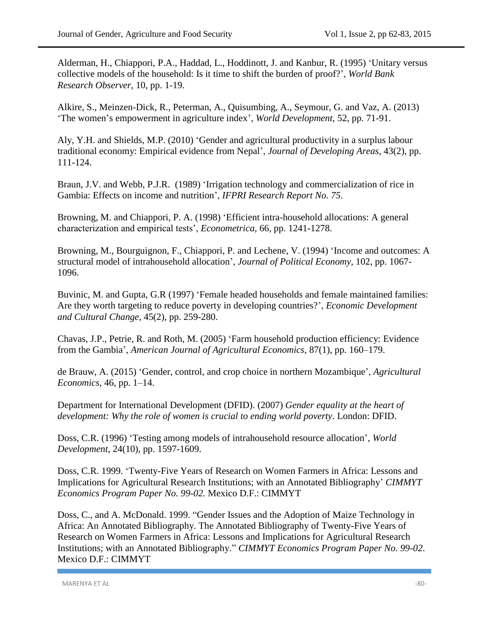Alderman, H., Chiappori, P.A., Haddad, L., Hoddinott, J. and Kanbur, R. (1995) 'Unitary versus collective models of the household: Is it time to shift the burden of proof?', *World Bank Research Observer*, 10, pp. 1-19.

Alkire, S., Meinzen-Dick, R., Peterman, A., Quisumbing, A., Seymour, G. and Vaz, A. (2013) 'The women's empowerment in agriculture index', *World Development*, 52, pp. 71-91.

Aly, Y.H. and Shields, M.P. (2010) 'Gender and agricultural productivity in a surplus labour traditional economy: Empirical evidence from Nepal', *Journal of Developing Areas*, 43(2), pp. 111-124.

Braun, J.V. and Webb, P.J.R. (1989) 'Irrigation technology and commercialization of rice in Gambia: Effects on income and nutrition', *IFPRI Research Report No. 75*.

Browning, M. and Chiappori, P. A. (1998) 'Efficient intra-household allocations: A general characterization and empirical tests', *Econometrica*, 66, pp. 1241-1278.

Browning, M., Bourguignon, F., Chiappori, P. and Lechene, V. (1994) 'Income and outcomes: A structural model of intrahousehold allocation', *Journal of Political Economy,* 102, pp. 1067- 1096.

Buvinic, M. and Gupta, G.R (1997) 'Female headed households and female maintained families: Are they worth targeting to reduce poverty in developing countries?', *Economic Development and Cultural Change*, 45(2), pp. 259-280.

Chavas, J.P., Petrie, R. and Roth, M. (2005) 'Farm household production efficiency: Evidence from the Gambia', *American Journal of Agricultural Economics*, 87(1), pp. 160–179.

de Brauw, A. (2015) 'Gender, control, and crop choice in northern Mozambique', *Agricultural Economics*, 46, pp. 1–14.

Department for International Development (DFID). (2007) *Gender equality at the heart of development: Why the role of women is crucial to ending world poverty*. London: DFID.

Doss, C.R. (1996) 'Testing among models of intrahousehold resource allocation', *World Development*, 24(10), pp. 1597-1609.

Doss, C.R. 1999. 'Twenty-Five Years of Research on Women Farmers in Africa: Lessons and Implications for Agricultural Research Institutions; with an Annotated Bibliography' *CIMMYT Economics Program Paper No. 99-02.* Mexico D.F.: CIMMYT

Doss, C., and A. McDonald. 1999. "Gender Issues and the Adoption of Maize Technology in Africa: An Annotated Bibliography. The Annotated Bibliography of Twenty-Five Years of Research on Women Farmers in Africa: Lessons and Implications for Agricultural Research Institutions; with an Annotated Bibliography." *CIMMYT Economics Program Paper No. 99-02*. Mexico D.F.: CIMMYT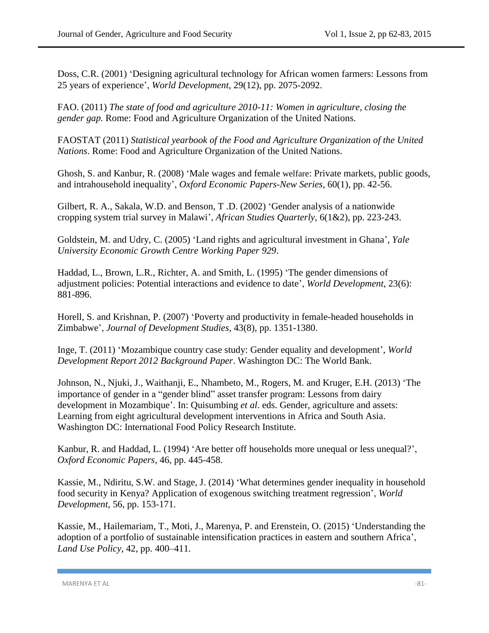Doss, C.R. (2001) 'Designing agricultural technology for African women farmers: Lessons from 25 years of experience', *World Development,* 29(12), pp. 2075-2092.

FAO. (2011) *The state of food and agriculture 2010-11: Women in agriculture, closing the gender gap.* Rome: Food and Agriculture Organization of the United Nations.

FAOSTAT (2011) *Statistical yearbook of the Food and Agriculture Organization of the United Nations*. Rome: Food and Agriculture Organization of the United Nations.

Ghosh, S. and Kanbur, R. (2008) 'Male wages and female welfare: Private markets, public goods, and intrahousehold inequality', *Oxford Economic Papers-New Series,* 60(1), pp. 42-56.

Gilbert, R. A., Sakala, W.D. and Benson, T .D. (2002) 'Gender analysis of a nationwide cropping system trial survey in Malawi', *African Studies Quarterly*, 6(1&2), pp. 223-243.

Goldstein, M. and Udry, C. (2005) 'Land rights and agricultural investment in Ghana', *Yale University Economic Growth Centre Working Paper 929*.

Haddad, L., Brown, L.R., Richter, A. and Smith, L. (1995) 'The gender dimensions of adjustment policies: Potential interactions and evidence to date', *World Development*, 23(6): 881-896.

Horell, S. and Krishnan, P. (2007) 'Poverty and productivity in female-headed households in Zimbabwe', *Journal of Development Studies*, 43(8), pp. 1351-1380.

Inge, T. (2011) 'Mozambique country case study: Gender equality and development', *World Development Report 2012 Background Paper*. Washington DC: The World Bank.

Johnson, N., Njuki, J., Waithanji, E., Nhambeto, M., Rogers, M. and Kruger, E.H. (2013) 'The importance of gender in a "gender blind" asset transfer program: Lessons from dairy development in Mozambique'. In: Quisumbing *et al*. eds. Gender, agriculture and assets: Learning from eight agricultural development interventions in Africa and South Asia. Washington DC: International Food Policy Research Institute.

Kanbur, R. and Haddad, L. (1994) 'Are better off households more unequal or less unequal?', *Oxford Economic Papers*, 46, pp. 445-458.

Kassie, M., Ndiritu, S.W. and Stage, J. (2014) 'What determines gender inequality in household food security in Kenya? Application of exogenous switching treatment regression', *World Development*, 56, pp. 153-171.

Kassie, M., Hailemariam, T., Moti, J., Marenya, P. and Erenstein, O. (2015) 'Understanding the adoption of a portfolio of sustainable intensification practices in eastern and southern Africa', *Land Use Policy*, 42, pp. 400–411.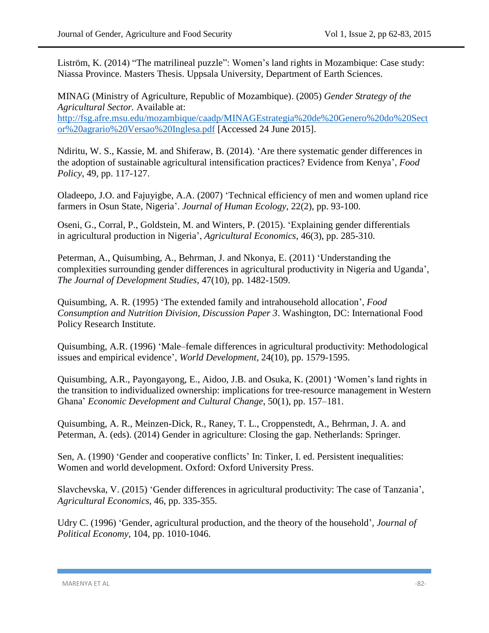Liström, K. (2014) "The matrilineal puzzle": Women's land rights in Mozambique: Case study: Niassa Province. Masters Thesis. Uppsala University, Department of Earth Sciences.

MINAG (Ministry of Agriculture, Republic of Mozambique). (2005) *Gender Strategy of the Agricultural Sector.* Available at: [http://fsg.afre.msu.edu/mozambique/caadp/MINAGEstrategia%20de%20Genero%20do%20Sect](http://fsg.afre.msu.edu/mozambique/caadp/MINAGEstrategia%20de%20Genero%20do%20Sector%20agrario%20Versao%20Inglesa.pdf) [or%20agrario%20Versao%20Inglesa.pdf](http://fsg.afre.msu.edu/mozambique/caadp/MINAGEstrategia%20de%20Genero%20do%20Sector%20agrario%20Versao%20Inglesa.pdf) [Accessed 24 June 2015].

Ndiritu, W. S., Kassie, M. and Shiferaw, B. (2014). 'Are there systematic gender differences in the adoption of sustainable agricultural intensification practices? Evidence from Kenya', *Food Policy*, 49, pp. 117-127.

Oladeepo, J.O. and Fajuyigbe, A.A. (2007) 'Technical efficiency of men and women upland rice farmers in Osun State, Nigeria'. *Journal of Human Ecology*, 22(2), pp. 93-100.

Oseni, G., Corral, P., Goldstein, M. and Winters, P. (2015). 'Explaining gender differentials in agricultural production in Nigeria', *Agricultural Economics*, 46(3), pp. 285-310.

Peterman, A., Quisumbing, A., Behrman, J. and Nkonya, E. (2011) 'Understanding the complexities surrounding gender differences in agricultural productivity in Nigeria and Uganda', *The Journal of Development Studies*, 47(10), pp. 1482-1509.

Quisumbing, A. R. (1995) 'The extended family and intrahousehold allocation', *Food Consumption and Nutrition Division, Discussion Paper 3*. Washington, DC: International Food Policy Research Institute.

Quisumbing, A.R. (1996) 'Male–female differences in agricultural productivity: Methodological issues and empirical evidence', *World Development*, 24(10), pp. 1579-1595.

Quisumbing, A.R., Payongayong, E., Aidoo, J.B. and Osuka, K. (2001) 'Women's land rights in the transition to individualized ownership: implications for tree-resource management in Western Ghana' *Economic Development and Cultural Change*, 50(1), pp. 157–181.

Quisumbing, A. R., Meinzen-Dick, R., Raney, T. L., Croppenstedt, A., Behrman, J. A. and Peterman, A. (eds). (2014) Gender in agriculture: Closing the gap. Netherlands: Springer.

Sen, A. (1990) 'Gender and cooperative conflicts' In: Tinker, I. ed. Persistent inequalities: Women and world development. Oxford: Oxford University Press.

Slavchevska, V. (2015) 'Gender differences in agricultural productivity: The case of Tanzania', *Agricultural Economics*, 46, pp. 335-355.

Udry C. (1996) 'Gender, agricultural production, and the theory of the household'*, Journal of Political Economy*, 104, pp. 1010-1046.